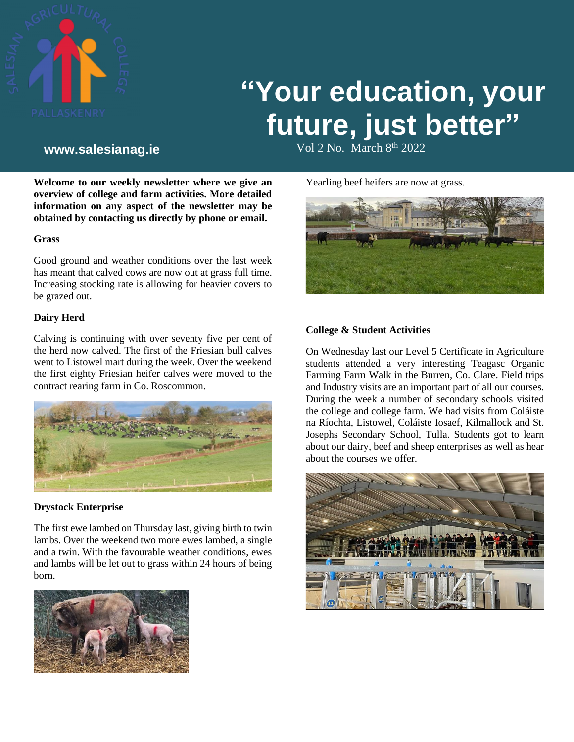

# **"Your education, your future, just better"**

Vol 2 No. March 8 th **www.salesianag.ie** 2022

**Welcome to our weekly newsletter where we give an overview of college and farm activities. More detailed information on any aspect of the newsletter may be obtained by contacting us directly by phone or email.**

#### **Grass**

Good ground and weather conditions over the last week has meant that calved cows are now out at grass full time. Increasing stocking rate is allowing for heavier covers to be grazed out.

#### **Dairy Herd**

Calving is continuing with over seventy five per cent of the herd now calved. The first of the Friesian bull calves went to Listowel mart during the week. Over the weekend the first eighty Friesian heifer calves were moved to the contract rearing farm in Co. Roscommon.



#### **Drystock Enterprise**

The first ewe lambed on Thursday last, giving birth to twin lambs. Over the weekend two more ewes lambed, a single and a twin. With the favourable weather conditions, ewes and lambs will be let out to grass within 24 hours of being born.



Yearling beef heifers are now at grass.



### **College & Student Activities**

On Wednesday last our Level 5 Certificate in Agriculture students attended a very interesting Teagasc Organic Farming Farm Walk in the Burren, Co. Clare. Field trips and Industry visits are an important part of all our courses. During the week a number of secondary schools visited the college and college farm. We had visits from Coláiste na Ríochta, Listowel, Coláiste Iosaef, Kilmallock and St. Josephs Secondary School, Tulla. Students got to learn about our dairy, beef and sheep enterprises as well as hear about the courses we offer.